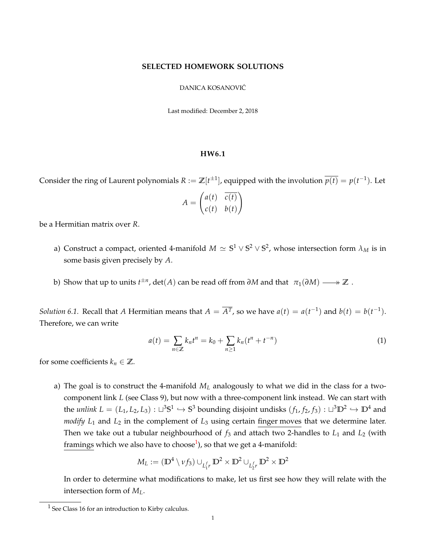## **SELECTED HOMEWORK SOLUTIONS**

## DANICA KOSANOVIC´

Last modified: December 2, 2018

## **HW6.1**

Consider the ring of Laurent polynomials  $R := \mathbb{Z}[t^{\pm 1}]$ , equipped with the involution  $\overline{p(t)} = p(t^{-1})$ . Let

$$
A = \begin{pmatrix} a(t) & \overline{c(t)} \\ c(t) & b(t) \end{pmatrix}
$$

be a Hermitian matrix over *R*.

- a) Construct a compact, oriented 4-manifold  $M\simeq \mathbb{S}^1\vee \mathbb{S}^2\vee \mathbb{S}^2$ , whose intersection form  $\lambda_M$  is in some basis given precisely by *A*.
- b) Show that up to units  $t^{\pm n}$ , det $(A)$  can be read off from  $\partial M$  and that  $\pi_1(\partial M) \longrightarrow \mathbb{Z}$ .

*Solution* 6.1. Recall that *A* Hermitian means that  $A = \overline{A^T}$ , so we have  $a(t) = a(t^{-1})$  and  $b(t) = b(t^{-1})$ . Therefore, we can write

<span id="page-0-1"></span>
$$
a(t) = \sum_{n \in \mathbb{Z}} k_n t^n = k_0 + \sum_{n \ge 1} k_n (t^n + t^{-n})
$$
\n(1)

for some coefficients  $k_n \in \mathbb{Z}$ .

a) The goal is to construct the 4-manifold *M<sup>L</sup>* analogously to what we did in the class for a twocomponent link *L* (see Class 9), but now with a three-component link instead. We can start with the *unlink*  $L = (L_1, L_2, L_3) : \Box^3 S^1 \hookrightarrow S^3$  bounding disjoint undisks  $(f_1, f_2, f_3) : \Box^3 \mathbb{D}^2 \hookrightarrow \mathbb{D}^4$  and *modify*  $L_1$  and  $L_2$  in the complement of  $L_3$  using certain finger moves that we determine later. Then we take out a tubular neighbourhood of *f*<sup>3</sup> and attach two 2-handles to *L*<sup>1</sup> and *L*<sup>2</sup> (with framings which we also have to choose $^1$  $^1$ ), so that we get a 4-manifold:

$$
M_L := (\mathbb{D}^4 \setminus \nu f_3) \cup_{L_1^f r} \mathbb{D}^2 \times \mathbb{D}^2 \cup_{L_2^f r} \mathbb{D}^2 \times \mathbb{D}^2
$$

In order to determine what modifications to make, let us first see how they will relate with the intersection form of *ML*.

<span id="page-0-0"></span> $<sup>1</sup>$  See Class 16 for an introduction to Kirby calculus.</sup>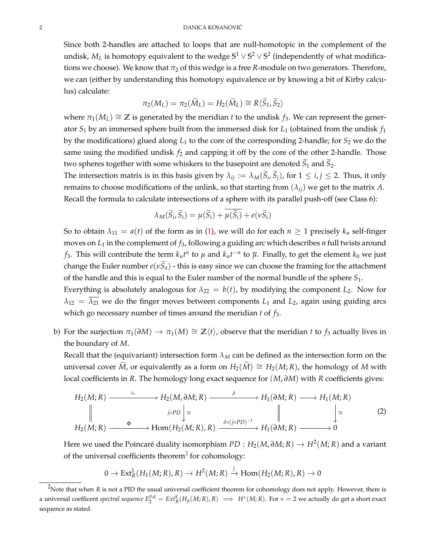Since both 2-handles are attached to loops that are null-homotopic in the complement of the undisk,  $M_L$  is homotopy equivalent to the wedge  $\mathbb{S}^1 \vee \mathbb{S}^2 \vee \mathbb{S}^2$  (independently of what modifications we choose). We know that  $\pi_2$  of this wedge is a free *R*-module on two generators. Therefore, we can (either by understanding this homotopy equivalence or by knowing a bit of Kirby calculus) calculate:

$$
\pi_2(M_L) = \pi_2(\widetilde{M}_L) = H_2(\widetilde{M}_L) \cong R \langle \widetilde{S}_1, \widetilde{S}_2 \rangle
$$

where  $\pi_1(M_L) \cong \mathbb{Z}$  is generated by the meridian *t* to the undisk *f*<sub>3</sub>. We can represent the generator *S*<sup>1</sup> by an immersed sphere built from the immersed disk for *L*<sup>1</sup> (obtained from the undisk *f*<sup>1</sup> by the modifications) glued along  $L_1$  to the core of the corresponding 2-handle; for  $S_2$  we do the same using the modified undisk  $f_2$  and capping it off by the core of the other 2-handle. Those two spheres together with some whiskers to the basepoint are denoted  $S_1$  and  $S_2$ .

The intersection matrix is in this basis given by  $\lambda_{ij} := \lambda_M(S_i, S_j)$ , for  $1 \le i, j \le 2$ . Thus, it only remains to choose modifications of the unlink, so that starting from  $(\lambda_{ij})$  we get to the matrix A. Recall the formula to calculate intersections of a sphere with its parallel push-off (see Class 6):

$$
\lambda_M(\widetilde{S}_i,\widetilde{S}_i)=\mu(\widetilde{S}_i)+\overline{\mu(\widetilde{S}_i)}+e(\nu\widetilde{S}_i)
$$

So to obtain  $\lambda_{11} = a(t)$  of the form as in [\(1\)](#page-0-1), we will do for each  $n \ge 1$  precisely  $k_n$  self-finger moves on *L*<sup>1</sup> in the complement of *f*3, following a guiding arc which describes *n* full twists around *f*<sub>3</sub>. This will contribute the term  $k_n t^n$  to  $\mu$  and  $k_n t^{-n}$  to  $\overline{\mu}$ . Finally, to get the element  $k_0$  we just change the Euler number  $e(\nu \tilde{S}_a)$  - this is easy since we can choose the framing for the attachment of the handle and this is equal to the Euler number of the normal bundle of the sphere *S*1.

Everything is absolutely analogous for  $\lambda_{22} = b(t)$ , by modifying the component  $L_2$ . Now for  $\lambda_{12} = \overline{\lambda_{21}}$  we do the finger moves between components  $L_1$  and  $L_2$ , again using guiding arcs which go necessary number of times around the meridian *t* of *f*3.

b) For the surjection  $\pi_1(\partial M) \to \pi_1(M) \cong \mathbb{Z}\langle t \rangle$ , observe that the meridian *t* to *f*<sub>3</sub> actually lives in the boundary of *M*.

Recall that the (equivariant) intersection form  $\lambda_M$  can be defined as the intersection form on the universal cover  $\tilde{M}$ , or equivalently as a form on  $H_2(\tilde{M}) \cong H_2(M;\mathbb{R})$ , the homology of M with local coefficients in *R*. The homology long exact sequence for (*M*, *∂M*) with *R* coefficients gives:

$$
H_2(M; R) \xrightarrow{\iota_*} H_2(M, \partial M; R) \xrightarrow{\delta} H_1(\partial M; R) \longrightarrow H_1(M; R)
$$
\n
$$
\parallel \qquad \qquad \downarrow \cong \qquad \qquad \downarrow
$$
\n
$$
H_2(M; R) \xrightarrow{\delta} \text{Hom}(H_2(M; R), R) \xrightarrow{\delta \circ (j \circ PD)^{-1}} H_1(\partial M; R) \longrightarrow 0
$$
\n
$$
(2)
$$

Here we used the Poincaré duality isomorphism  $PD:H_2(M,\partial M;R)\rightarrow H^2(M;R)$  and a variant of the universal coefficients theorem<sup>[2](#page-1-0)</sup> for cohomology:

<span id="page-1-1"></span>
$$
0 \to Ext^1_R(H_1(M; R), R) \to H^2(M; R) \xrightarrow{j} \text{Hom}(H_2(M; R), R) \to 0
$$

<span id="page-1-0"></span><sup>&</sup>lt;sup>2</sup>Note that when *R* is not a PID the usual universal coefficient theorem for cohomology does not apply. However, there is a universal coefficent spectral sequence  $E_2^{p,q} = Ext_R^q(H_p(M; R), R) \implies H^*(M; R)$ . For  $* = 2$  we actually do get a short exact sequence as stated.